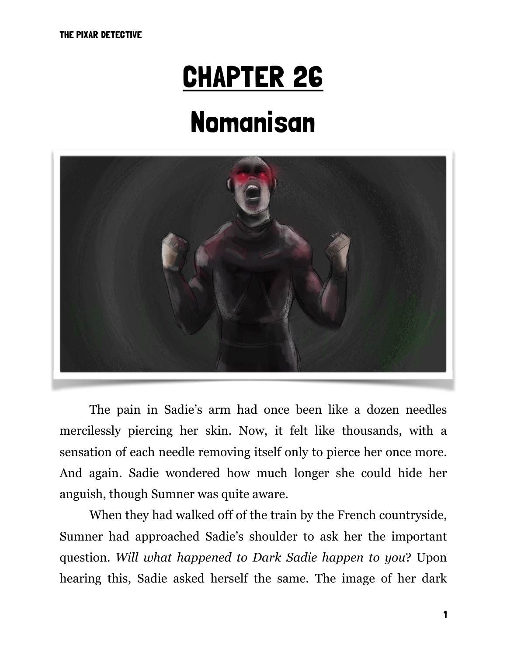# CHAPTER 26

# Nomanisan



 The pain in Sadie's arm had once been like a dozen needles mercilessly piercing her skin. Now, it felt like thousands, with a sensation of each needle removing itself only to pierce her once more. And again. Sadie wondered how much longer she could hide her anguish, though Sumner was quite aware.

 When they had walked off of the train by the French countryside, Sumner had approached Sadie's shoulder to ask her the important question. *Will what happened to Dark Sadie happen to you*? Upon hearing this, Sadie asked herself the same. The image of her dark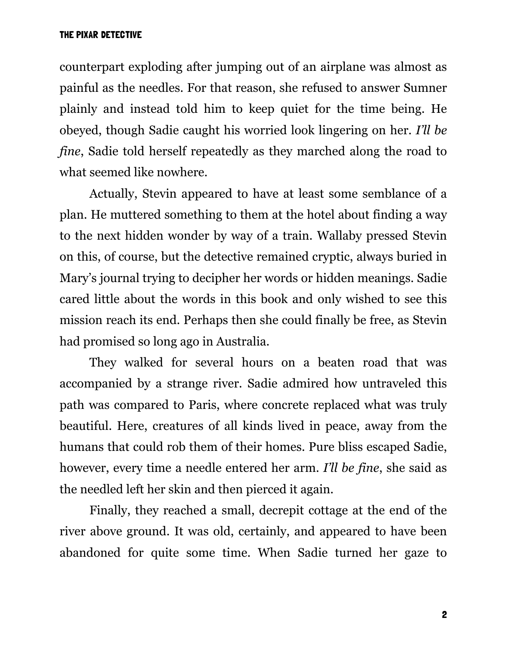counterpart exploding after jumping out of an airplane was almost as painful as the needles. For that reason, she refused to answer Sumner plainly and instead told him to keep quiet for the time being. He obeyed, though Sadie caught his worried look lingering on her. *I'll be fine*, Sadie told herself repeatedly as they marched along the road to what seemed like nowhere.

 Actually, Stevin appeared to have at least some semblance of a plan. He muttered something to them at the hotel about finding a way to the next hidden wonder by way of a train. Wallaby pressed Stevin on this, of course, but the detective remained cryptic, always buried in Mary's journal trying to decipher her words or hidden meanings. Sadie cared little about the words in this book and only wished to see this mission reach its end. Perhaps then she could finally be free, as Stevin had promised so long ago in Australia.

 They walked for several hours on a beaten road that was accompanied by a strange river. Sadie admired how untraveled this path was compared to Paris, where concrete replaced what was truly beautiful. Here, creatures of all kinds lived in peace, away from the humans that could rob them of their homes. Pure bliss escaped Sadie, however, every time a needle entered her arm. *I'll be fine*, she said as the needled left her skin and then pierced it again.

 Finally, they reached a small, decrepit cottage at the end of the river above ground. It was old, certainly, and appeared to have been abandoned for quite some time. When Sadie turned her gaze to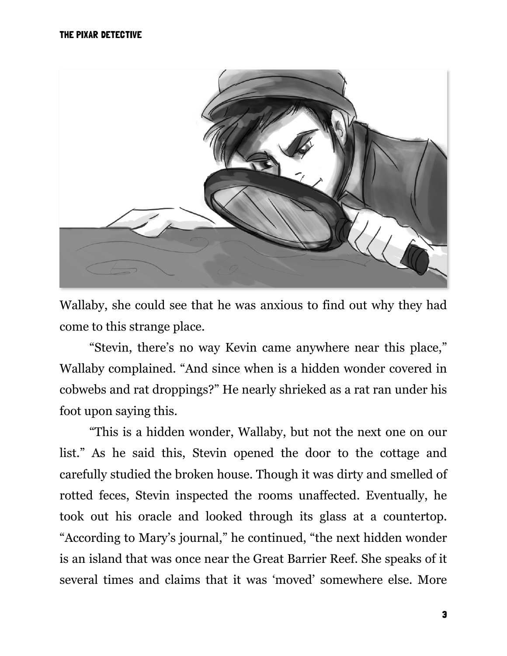

Wallaby, she could see that he was anxious to find out why they had come to this strange place.

 "Stevin, there's no way Kevin came anywhere near this place," Wallaby complained. "And since when is a hidden wonder covered in cobwebs and rat droppings?" He nearly shrieked as a rat ran under his foot upon saying this.

 "This is a hidden wonder, Wallaby, but not the next one on our list." As he said this, Stevin opened the door to the cottage and carefully studied the broken house. Though it was dirty and smelled of rotted feces, Stevin inspected the rooms unaffected. Eventually, he took out his oracle and looked through its glass at a countertop. "According to Mary's journal," he continued, "the next hidden wonder is an island that was once near the Great Barrier Reef. She speaks of it several times and claims that it was 'moved' somewhere else. More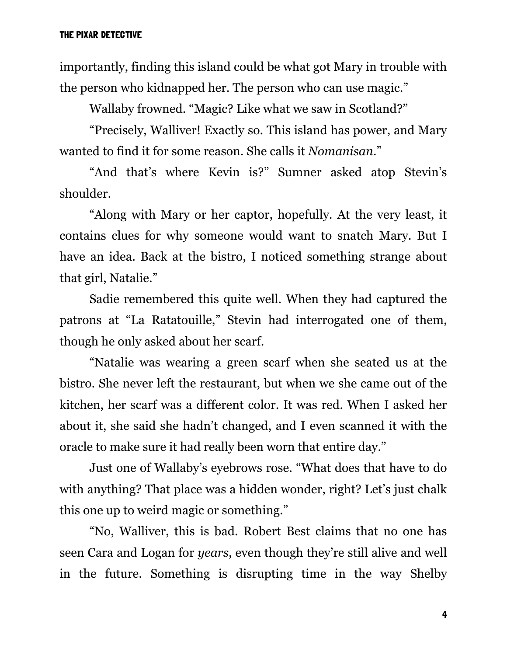importantly, finding this island could be what got Mary in trouble with the person who kidnapped her. The person who can use magic."

Wallaby frowned. "Magic? Like what we saw in Scotland?"

 "Precisely, Walliver! Exactly so. This island has power, and Mary wanted to find it for some reason. She calls it *Nomanisan*."

 "And that's where Kevin is?" Sumner asked atop Stevin's shoulder.

 "Along with Mary or her captor, hopefully. At the very least, it contains clues for why someone would want to snatch Mary. But I have an idea. Back at the bistro, I noticed something strange about that girl, Natalie."

 Sadie remembered this quite well. When they had captured the patrons at "La Ratatouille," Stevin had interrogated one of them, though he only asked about her scarf.

 "Natalie was wearing a green scarf when she seated us at the bistro. She never left the restaurant, but when we she came out of the kitchen, her scarf was a different color. It was red. When I asked her about it, she said she hadn't changed, and I even scanned it with the oracle to make sure it had really been worn that entire day."

 Just one of Wallaby's eyebrows rose. "What does that have to do with anything? That place was a hidden wonder, right? Let's just chalk this one up to weird magic or something."

 "No, Walliver, this is bad. Robert Best claims that no one has seen Cara and Logan for *years*, even though they're still alive and well in the future. Something is disrupting time in the way Shelby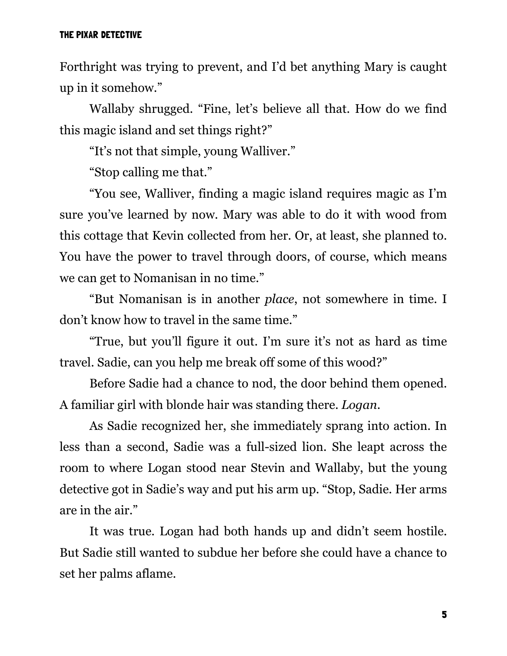Forthright was trying to prevent, and I'd bet anything Mary is caught up in it somehow."

 Wallaby shrugged. "Fine, let's believe all that. How do we find this magic island and set things right?"

"It's not that simple, young Walliver."

"Stop calling me that."

 "You see, Walliver, finding a magic island requires magic as I'm sure you've learned by now. Mary was able to do it with wood from this cottage that Kevin collected from her. Or, at least, she planned to. You have the power to travel through doors, of course, which means we can get to Nomanisan in no time."

 "But Nomanisan is in another *place*, not somewhere in time. I don't know how to travel in the same time."

 "True, but you'll figure it out. I'm sure it's not as hard as time travel. Sadie, can you help me break off some of this wood?"

 Before Sadie had a chance to nod, the door behind them opened. A familiar girl with blonde hair was standing there. *Logan*.

 As Sadie recognized her, she immediately sprang into action. In less than a second, Sadie was a full-sized lion. She leapt across the room to where Logan stood near Stevin and Wallaby, but the young detective got in Sadie's way and put his arm up. "Stop, Sadie. Her arms are in the air."

 It was true. Logan had both hands up and didn't seem hostile. But Sadie still wanted to subdue her before she could have a chance to set her palms aflame.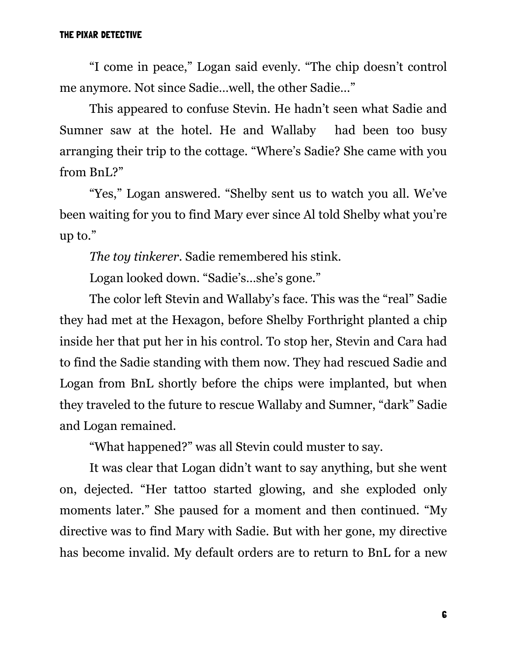"I come in peace," Logan said evenly. "The chip doesn't control me anymore. Not since Sadie…well, the other Sadie…"

 This appeared to confuse Stevin. He hadn't seen what Sadie and Sumner saw at the hotel. He and Wallaby had been too busy arranging their trip to the cottage. "Where's Sadie? She came with you from BnL?"

 "Yes," Logan answered. "Shelby sent us to watch you all. We've been waiting for you to find Mary ever since Al told Shelby what you're up to."

*The toy tinkerer*. Sadie remembered his stink.

Logan looked down. "Sadie's…she's gone."

 The color left Stevin and Wallaby's face. This was the "real" Sadie they had met at the Hexagon, before Shelby Forthright planted a chip inside her that put her in his control. To stop her, Stevin and Cara had to find the Sadie standing with them now. They had rescued Sadie and Logan from BnL shortly before the chips were implanted, but when they traveled to the future to rescue Wallaby and Sumner, "dark" Sadie and Logan remained.

"What happened?" was all Stevin could muster to say.

 It was clear that Logan didn't want to say anything, but she went on, dejected. "Her tattoo started glowing, and she exploded only moments later." She paused for a moment and then continued. "My directive was to find Mary with Sadie. But with her gone, my directive has become invalid. My default orders are to return to BnL for a new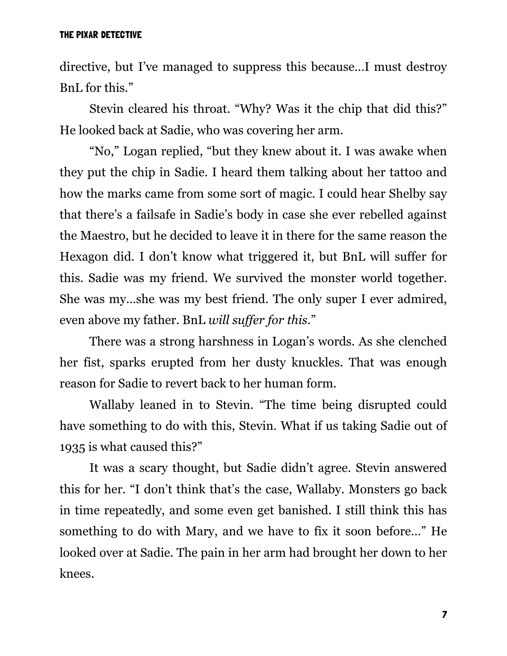directive, but I've managed to suppress this because…I must destroy BnL for this."

 Stevin cleared his throat. "Why? Was it the chip that did this?" He looked back at Sadie, who was covering her arm.

 "No," Logan replied, "but they knew about it. I was awake when they put the chip in Sadie. I heard them talking about her tattoo and how the marks came from some sort of magic. I could hear Shelby say that there's a failsafe in Sadie's body in case she ever rebelled against the Maestro, but he decided to leave it in there for the same reason the Hexagon did. I don't know what triggered it, but BnL will suffer for this. Sadie was my friend. We survived the monster world together. She was my…she was my best friend. The only super I ever admired, even above my father. BnL *will suffer for this*."

 There was a strong harshness in Logan's words. As she clenched her fist, sparks erupted from her dusty knuckles. That was enough reason for Sadie to revert back to her human form.

 Wallaby leaned in to Stevin. "The time being disrupted could have something to do with this, Stevin. What if us taking Sadie out of 1935 is what caused this?"

 It was a scary thought, but Sadie didn't agree. Stevin answered this for her. "I don't think that's the case, Wallaby. Monsters go back in time repeatedly, and some even get banished. I still think this has something to do with Mary, and we have to fix it soon before…" He looked over at Sadie. The pain in her arm had brought her down to her knees.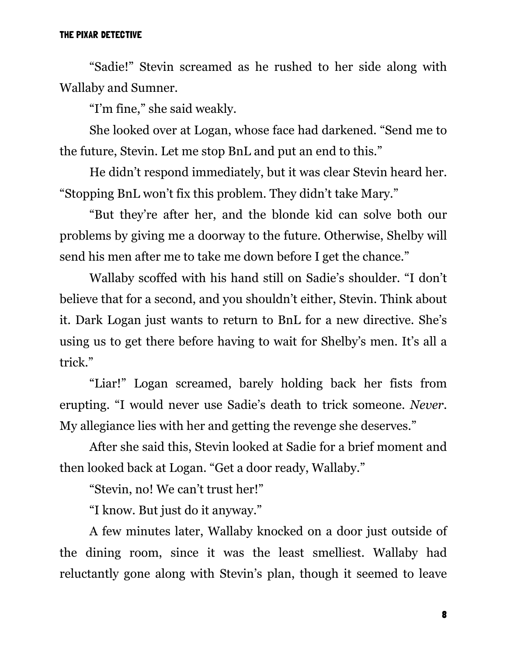"Sadie!" Stevin screamed as he rushed to her side along with Wallaby and Sumner.

"I'm fine," she said weakly.

 She looked over at Logan, whose face had darkened. "Send me to the future, Stevin. Let me stop BnL and put an end to this."

 He didn't respond immediately, but it was clear Stevin heard her. "Stopping BnL won't fix this problem. They didn't take Mary."

 "But they're after her, and the blonde kid can solve both our problems by giving me a doorway to the future. Otherwise, Shelby will send his men after me to take me down before I get the chance."

 Wallaby scoffed with his hand still on Sadie's shoulder. "I don't believe that for a second, and you shouldn't either, Stevin. Think about it. Dark Logan just wants to return to BnL for a new directive. She's using us to get there before having to wait for Shelby's men. It's all a trick."

 "Liar!" Logan screamed, barely holding back her fists from erupting. "I would never use Sadie's death to trick someone. *Never*. My allegiance lies with her and getting the revenge she deserves."

 After she said this, Stevin looked at Sadie for a brief moment and then looked back at Logan. "Get a door ready, Wallaby."

"Stevin, no! We can't trust her!"

"I know. But just do it anyway."

 A few minutes later, Wallaby knocked on a door just outside of the dining room, since it was the least smelliest. Wallaby had reluctantly gone along with Stevin's plan, though it seemed to leave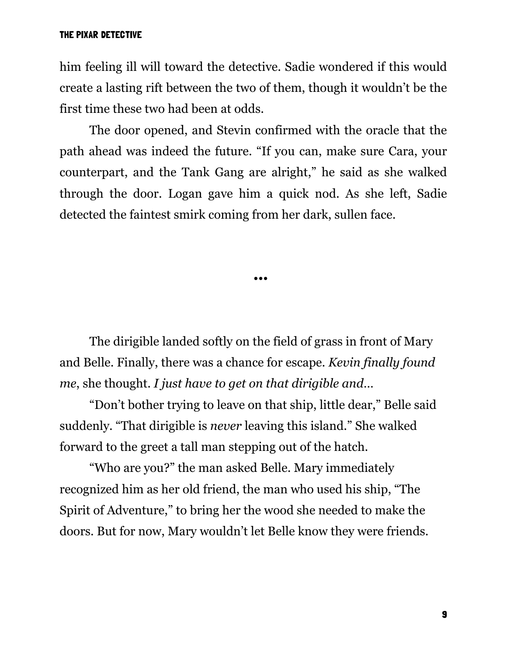him feeling ill will toward the detective. Sadie wondered if this would create a lasting rift between the two of them, though it wouldn't be the first time these two had been at odds.

 The door opened, and Stevin confirmed with the oracle that the path ahead was indeed the future. "If you can, make sure Cara, your counterpart, and the Tank Gang are alright," he said as she walked through the door. Logan gave him a quick nod. As she left, Sadie detected the faintest smirk coming from her dark, sullen face.

•••

 The dirigible landed softly on the field of grass in front of Mary and Belle. Finally, there was a chance for escape. *Kevin finally found me*, she thought. *I just have to get on that dirigible and*…

 "Don't bother trying to leave on that ship, little dear," Belle said suddenly. "That dirigible is *never* leaving this island." She walked forward to the greet a tall man stepping out of the hatch.

 "Who are you?" the man asked Belle. Mary immediately recognized him as her old friend, the man who used his ship, "The Spirit of Adventure," to bring her the wood she needed to make the doors. But for now, Mary wouldn't let Belle know they were friends.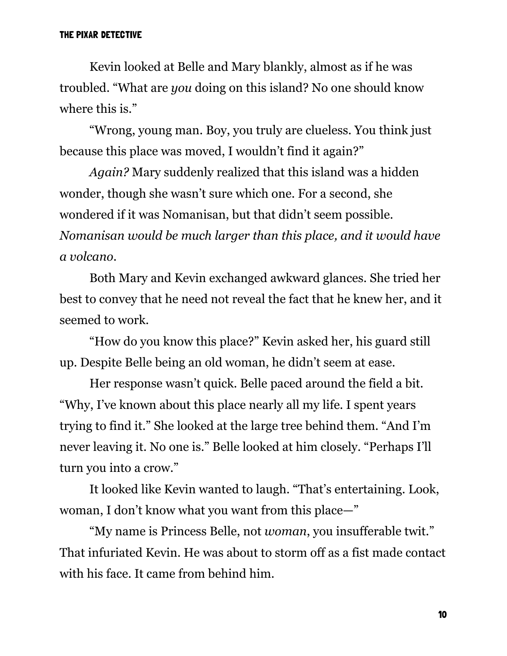Kevin looked at Belle and Mary blankly, almost as if he was troubled. "What are *you* doing on this island? No one should know where this is."

 "Wrong, young man. Boy, you truly are clueless. You think just because this place was moved, I wouldn't find it again?"

 *Again?* Mary suddenly realized that this island was a hidden wonder, though she wasn't sure which one. For a second, she wondered if it was Nomanisan, but that didn't seem possible. *Nomanisan would be much larger than this place, and it would have a volcano*.

 Both Mary and Kevin exchanged awkward glances. She tried her best to convey that he need not reveal the fact that he knew her, and it seemed to work.

 "How do you know this place?" Kevin asked her, his guard still up. Despite Belle being an old woman, he didn't seem at ease.

 Her response wasn't quick. Belle paced around the field a bit. "Why, I've known about this place nearly all my life. I spent years trying to find it." She looked at the large tree behind them. "And I'm never leaving it. No one is." Belle looked at him closely. "Perhaps I'll turn you into a crow."

 It looked like Kevin wanted to laugh. "That's entertaining. Look, woman, I don't know what you want from this place—"

 "My name is Princess Belle, not *woman*, you insufferable twit." That infuriated Kevin. He was about to storm off as a fist made contact with his face. It came from behind him.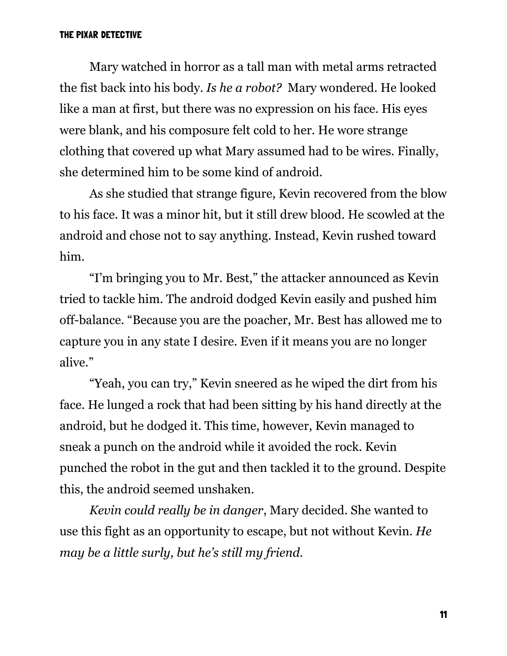Mary watched in horror as a tall man with metal arms retracted the fist back into his body. *Is he a robot?* Mary wondered. He looked like a man at first, but there was no expression on his face. His eyes were blank, and his composure felt cold to her. He wore strange clothing that covered up what Mary assumed had to be wires. Finally, she determined him to be some kind of android.

 As she studied that strange figure, Kevin recovered from the blow to his face. It was a minor hit, but it still drew blood. He scowled at the android and chose not to say anything. Instead, Kevin rushed toward him.

 "I'm bringing you to Mr. Best," the attacker announced as Kevin tried to tackle him. The android dodged Kevin easily and pushed him off-balance. "Because you are the poacher, Mr. Best has allowed me to capture you in any state I desire. Even if it means you are no longer alive."

 "Yeah, you can try," Kevin sneered as he wiped the dirt from his face. He lunged a rock that had been sitting by his hand directly at the android, but he dodged it. This time, however, Kevin managed to sneak a punch on the android while it avoided the rock. Kevin punched the robot in the gut and then tackled it to the ground. Despite this, the android seemed unshaken.

 *Kevin could really be in danger*, Mary decided. She wanted to use this fight as an opportunity to escape, but not without Kevin. *He may be a little surly, but he's still my friend.*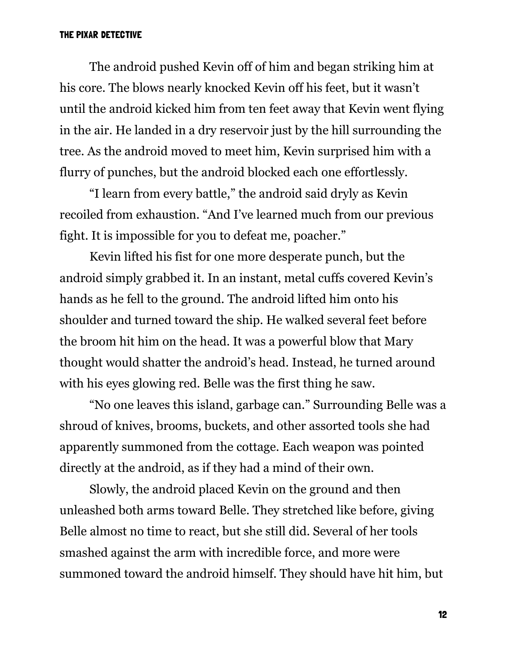The android pushed Kevin off of him and began striking him at his core. The blows nearly knocked Kevin off his feet, but it wasn't until the android kicked him from ten feet away that Kevin went flying in the air. He landed in a dry reservoir just by the hill surrounding the tree. As the android moved to meet him, Kevin surprised him with a flurry of punches, but the android blocked each one effortlessly.

 "I learn from every battle," the android said dryly as Kevin recoiled from exhaustion. "And I've learned much from our previous fight. It is impossible for you to defeat me, poacher."

 Kevin lifted his fist for one more desperate punch, but the android simply grabbed it. In an instant, metal cuffs covered Kevin's hands as he fell to the ground. The android lifted him onto his shoulder and turned toward the ship. He walked several feet before the broom hit him on the head. It was a powerful blow that Mary thought would shatter the android's head. Instead, he turned around with his eyes glowing red. Belle was the first thing he saw.

 "No one leaves this island, garbage can." Surrounding Belle was a shroud of knives, brooms, buckets, and other assorted tools she had apparently summoned from the cottage. Each weapon was pointed directly at the android, as if they had a mind of their own.

 Slowly, the android placed Kevin on the ground and then unleashed both arms toward Belle. They stretched like before, giving Belle almost no time to react, but she still did. Several of her tools smashed against the arm with incredible force, and more were summoned toward the android himself. They should have hit him, but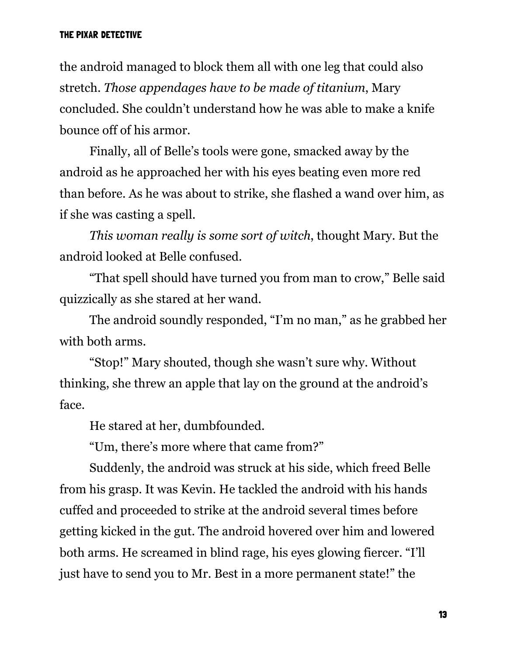the android managed to block them all with one leg that could also stretch. *Those appendages have to be made of titanium*, Mary concluded. She couldn't understand how he was able to make a knife bounce off of his armor.

 Finally, all of Belle's tools were gone, smacked away by the android as he approached her with his eyes beating even more red than before. As he was about to strike, she flashed a wand over him, as if she was casting a spell.

 *This woman really is some sort of witch*, thought Mary. But the android looked at Belle confused.

 "That spell should have turned you from man to crow," Belle said quizzically as she stared at her wand.

 The android soundly responded, "I'm no man," as he grabbed her with both arms.

 "Stop!" Mary shouted, though she wasn't sure why. Without thinking, she threw an apple that lay on the ground at the android's face.

He stared at her, dumbfounded.

"Um, there's more where that came from?"

 Suddenly, the android was struck at his side, which freed Belle from his grasp. It was Kevin. He tackled the android with his hands cuffed and proceeded to strike at the android several times before getting kicked in the gut. The android hovered over him and lowered both arms. He screamed in blind rage, his eyes glowing fiercer. "I'll just have to send you to Mr. Best in a more permanent state!" the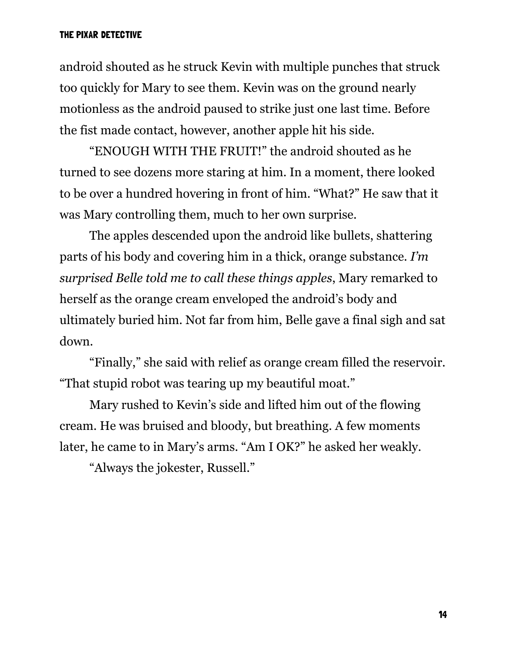android shouted as he struck Kevin with multiple punches that struck too quickly for Mary to see them. Kevin was on the ground nearly motionless as the android paused to strike just one last time. Before the fist made contact, however, another apple hit his side.

 "ENOUGH WITH THE FRUIT!" the android shouted as he turned to see dozens more staring at him. In a moment, there looked to be over a hundred hovering in front of him. "What?" He saw that it was Mary controlling them, much to her own surprise.

 The apples descended upon the android like bullets, shattering parts of his body and covering him in a thick, orange substance. *I'm surprised Belle told me to call these things apples*, Mary remarked to herself as the orange cream enveloped the android's body and ultimately buried him. Not far from him, Belle gave a final sigh and sat down.

 "Finally," she said with relief as orange cream filled the reservoir. "That stupid robot was tearing up my beautiful moat."

 Mary rushed to Kevin's side and lifted him out of the flowing cream. He was bruised and bloody, but breathing. A few moments later, he came to in Mary's arms. "Am I OK?" he asked her weakly.

"Always the jokester, Russell."